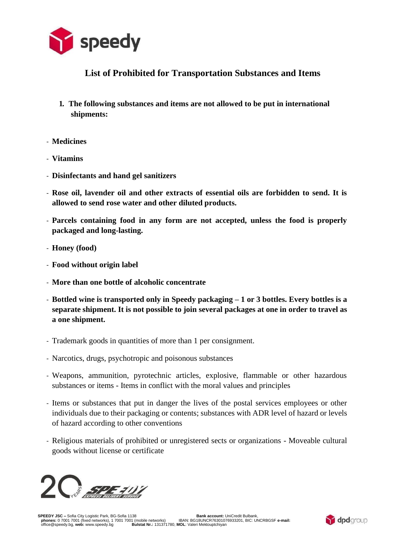

## **List of Prohibited for Transportation Substances and Items**

- **1. The following substances and items are not allowed to be put in international shipments:**
- **Medicines**
- **Vitamins**
- **Disinfectants and hand gel sanitizers**
- **Rose oil, lavender oil and other extracts of essential oils are forbidden to send. It is allowed to send rose water and other diluted products.**
- **Parcels containing food in any form are not accepted, unless the food is properly packaged and long-lasting.**
- **Honey (food)**
- **Food without origin label**
- **More than one bottle of alcoholic concentrate**
- **Bottled wine is transported only in Speedy packaging – 1 or 3 bottles. Every bottles is a separate shipment. It is not possible to join several packages at one in order to travel as a one shipment.**
- Trademark goods in quantities of more than 1 per consignment.
- Narcotics, drugs, psychotropic and poisonous substances
- Weapons, ammunition, pyrotechnic articles, explosive, flammable or other hazardous substances or items - Items in conflict with the moral values and principles
- Items or substances that put in danger the lives of the postal services employees or other individuals due to their packaging or contents; substances with ADR level of hazard or levels of hazard according to other conventions
- Religious materials of prohibited or unregistered sects or organizations Moveable cultural goods without license or certificate



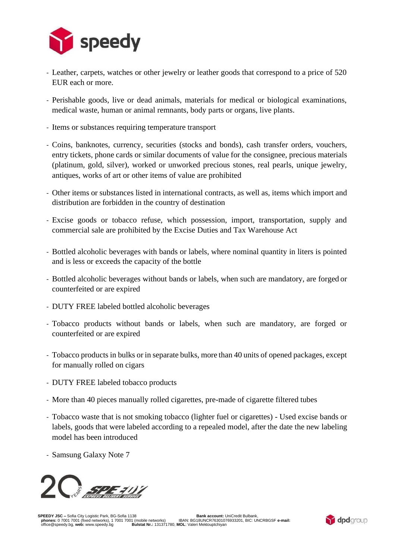

- Leather, carpets, watches or other jewelry or leather goods that correspond to a price of 520 EUR each or more.
- Perishable goods, live or dead animals, materials for medical or biological examinations, medical waste, human or animal remnants, body parts or organs, live plants.
- Items or substances requiring temperature transport
- Coins, banknotes, currency, securities (stocks and bonds), cash transfer orders, vouchers, entry tickets, phone cards or similar documents of value for the consignee, precious materials (platinum, gold, silver), worked or unworked precious stones, real pearls, unique jewelry, antiques, works of art or other items of value are prohibited
- Other items or substances listed in international contracts, as well as, items which import and distribution are forbidden in the country of destination
- Excise goods or tobacco refuse, which possession, import, transportation, supply and commercial sale are prohibited by the Excise Duties and Tax Warehouse Act
- Bottled alcoholic beverages with bands or labels, where nominal quantity in liters is pointed and is less or exceeds the capacity of the bottle
- Bottled alcoholic beverages without bands or labels, when such are mandatory, are forged or counterfeited or are expired
- DUTY FREE labeled bottled alcoholic beverages
- Tobacco products without bands or labels, when such are mandatory, are forged or counterfeited or are expired
- Tobacco products in bulks or in separate bulks, more than 40 units of opened packages, except for manually rolled on cigars
- DUTY FREE labeled tobacco products
- More than 40 pieces manually rolled cigarettes, pre-made of cigarette filtered tubes
- Tobacco waste that is not smoking tobacco (lighter fuel or cigarettes) Used excise bands or labels, goods that were labeled according to a repealed model, after the date the new labeling model has been introduced
- Samsung Galaxy Note 7



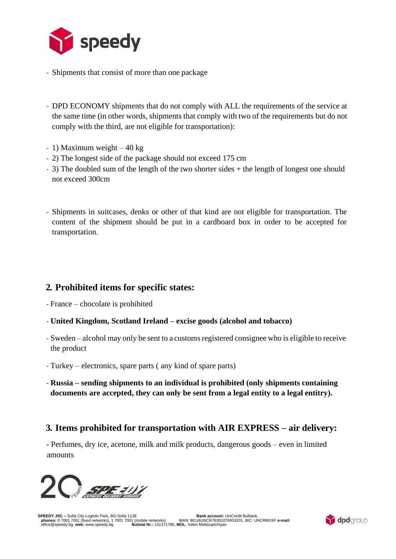

- Shipments that consist of more than one package
- DPD ECONOMY shipments that do not comply with ALL the requirements of the service at the same time (in other words, shipments that comply with two of the requirements but do not comply with the third, are not eligible for transportation):
- 1) Maximum weight 40 kg
- 2) The longest side of the package should not exceed 175 cm
- 3) The doubled sum of the length of the two shorter sides + the length of longest one should not exceed 300cm
- Shipments in suitcases, denks or other of that kind are not eligible for transportation. The content of the shipment should be put in a cardboard box in order to be accepted for transportation.

#### **2. Prohibited items for specific states:**

- France chocolate is prohibited
- **United Kingdom, Scotland Ireland – excise goods (alcohol and tobacco)**
- Sweden alcohol may only be sent to a customs registered consignee who is eligible to receive the product
- Turkey electronics, spare parts ( any kind of spare parts)
- **Russia – sending shipments to an individual is prohibited (only shipments containing documents are accepted, they can only be sent from a legal entity to a legal entitry).**

### **3. Items prohibited for transportation with AIR EXPRESS – air delivery:**

- Perfumes, dry ice, acetone, milk and milk products, dangerous goods – even in limited amounts